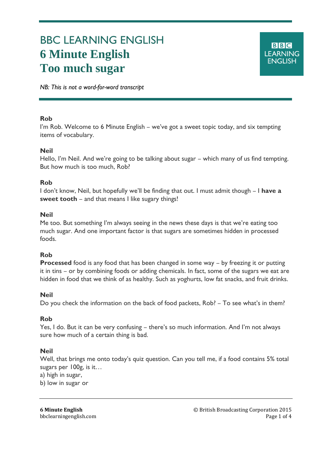# BBC LEARNING ENGLISH **6 Minute English Too much sugar**

*NB: This is not a word-for-word transcript*

#### **Rob**

Ξ

I'm Rob. Welcome to 6 Minute English – we've got a sweet topic today, and six tempting items of vocabulary.

#### **Neil**

Hello, I'm Neil. And we're going to be talking about sugar – which many of us find tempting. But how much is too much, Rob?

#### **Rob**

I don't know, Neil, but hopefully we'll be finding that out. I must admit though – I **have a sweet tooth** – and that means I like sugary things!

#### **Neil**

Me too. But something I'm always seeing in the news these days is that we're eating too much sugar. And one important factor is that sugars are sometimes hidden in processed foods.

#### **Rob**

**Processed** food is any food that has been changed in some way – by freezing it or putting it in tins – or by combining foods or adding chemicals. In fact, some of the sugars we eat are hidden in food that we think of as healthy. Such as yoghurts, low fat snacks, and fruit drinks.

#### **Neil**

Do you check the information on the back of food packets, Rob? – To see what's in them?

#### **Rob**

Yes, I do. But it can be very confusing – there's so much information. And I'm not always sure how much of a certain thing is bad.

#### **Neil**

Well, that brings me onto today's quiz question. Can you tell me, if a food contains 5% total sugars per 100g, is it…

a) high in sugar,

b) low in sugar or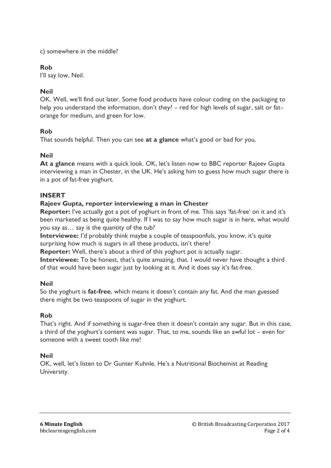c) somewhere in the middle?

#### **Rob**

I'll say low, Neil.

## **Neil**

OK. Well, we'll find out later. Some food products have colour coding on the packaging to help you understand the information, don't they? – red for high levels of sugar, salt or fat– orange for medium, and green for low.

## **Rob**

That sounds helpful. Then you can see **at a glance** what's good or bad for you.

## **Neil**

**At a glance** means with a quick look. OK, let's listen now to BBC reporter Rajeev Gupta interviewing a man in Chester, in the UK. He's asking him to guess how much sugar there is in a pot of fat-free yoghurt.

## **INSERT**

#### **Rajeev Gupta, reporter interviewing a man in Chester**

**Reporter:** I've actually got a pot of yoghurt in front of me. This says 'fat-free' on it and it's been marketed as being quite healthy. If I was to say how much sugar is in here, what would you say as… say is the quantity of the tub?

**Interviewee:** I'd probably think maybe a couple of teaspoonfuls, you know, it's quite surprising how much is sugars in all these products, isn't there?

**Reporter:** Well, there's about a third of this yoghurt pot is actually sugar.

**Interviewee:** To be honest, that's quite amazing, that. I would never have thought a third of that would have been sugar just by looking at it. And it does say it's fat-free.

## **Neil**

So the yoghurt is **fat-free**, which means it doesn't contain any fat. And the man guessed there might be two teaspoons of sugar in the yoghurt.

## **Rob**

That's right. And if something is sugar-free then it doesn't contain any sugar. But in this case, a third of the yoghurt's content was sugar. That, to me, sounds like an awful lot – even for someone with a sweet tooth like me!

## **Neil**

OK, well, let's listen to Dr Gunter Kuhnle. He's a Nutritional Biochemist at Reading University.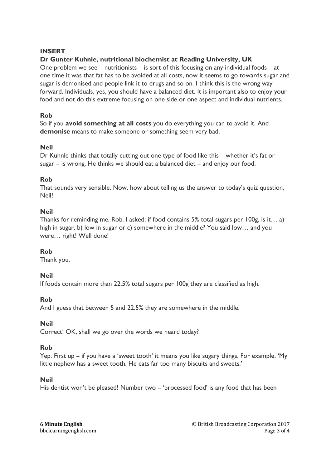#### **INSERT**

## **Dr Gunter Kuhnle, nutritional biochemist at Reading University, UK**

One problem we see – nutritionists – is sort of this focusing on any individual foods – at one time it was that fat has to be avoided at all costs, now it seems to go towards sugar and sugar is demonised and people link it to drugs and so on. I think this is the wrong way forward. Individuals, yes, you should have a balanced diet. It is important also to enjoy your food and not do this extreme focusing on one side or one aspect and individual nutrients.

#### **Rob**

So if you **avoid something at all costs** you do everything you can to avoid it. And **demonise** means to make someone or something seem very bad.

#### **Neil**

Dr Kuhnle thinks that totally cutting out one type of food like this – whether it's fat or sugar – is wrong. He thinks we should eat a balanced diet – and enjoy our food.

## **Rob**

That sounds very sensible. Now, how about telling us the answer to today's quiz question, Neil?

## **Neil**

Thanks for reminding me, Rob. I asked: if food contains 5% total sugars per 100g, is it… a) high in sugar, b) low in sugar or c) somewhere in the middle? You said low... and you were… right! Well done!

## **Rob**

Thank you.

#### **Neil**

If foods contain more than 22.5% total sugars per 100g they are classified as high.

## **Rob**

And I guess that between 5 and 22.5% they are somewhere in the middle.

#### **Neil**

Correct! OK, shall we go over the words we heard today?

#### **Rob**

Yep. First up – if you have a 'sweet tooth' it means you like sugary things. For example, 'My little nephew has a sweet tooth. He eats far too many biscuits and sweets.'

#### **Neil**

His dentist won't be pleased! Number two – 'processed food' is any food that has been